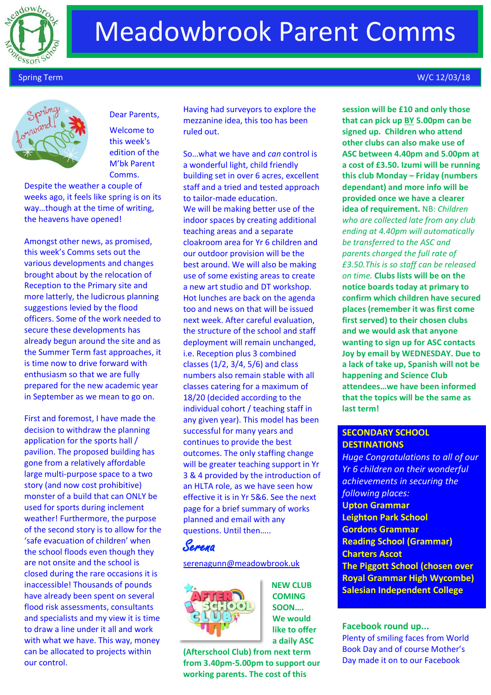

## Meadowbrook Parent Comms



### Dear Parents,

Welcome to this week's edition of the M'bk Parent Comms.

Despite the weather a couple of weeks ago, it feels like spring is on its way…though at the time of writing, the heavens have opened!

Amongst other news, as promised, this week's Comms sets out the various developments and changes brought about by the relocation of Reception to the Primary site and more latterly, the ludicrous planning suggestions levied by the flood officers. Some of the work needed to secure these developments has already begun around the site and as the Summer Term fast approaches, it is time now to drive forward with enthusiasm so that we are fully prepared for the new academic year in September as we mean to go on.

First and foremost, I have made the decision to withdraw the planning application for the sports hall / pavilion. The proposed building has gone from a relatively affordable large multi-purpose space to a two story (and now cost prohibitive) monster of a build that can ONLY be used for sports during inclement weather! Furthermore, the purpose of the second story is to allow for the 'safe evacuation of children' when the school floods even though they are not onsite and the school is closed during the rare occasions it is inaccessible! Thousands of pounds have already been spent on several flood risk assessments, consultants and specialists and my view it is time to draw a line under it all and work with what we have. This way, money can be allocated to projects within our control.

Having had surveyors to explore the mezzanine idea, this too has been ruled out.

So…what we have and *can* control is a wonderful light, child friendly building set in over 6 acres, excellent staff and a tried and tested approach to tailor-made education. We will be making better use of the indoor spaces by creating additional teaching areas and a separate cloakroom area for Yr 6 children and our outdoor provision will be the best around. We will also be making use of some existing areas to create a new art studio and DT workshop. Hot lunches are back on the agenda too and news on that will be issued next week. After careful evaluation, the structure of the school and staff deployment will remain unchanged, i.e. Reception plus 3 combined classes (1/2, 3/4, 5/6) and class numbers also remain stable with all classes catering for a maximum of 18/20 (decided according to the individual cohort / teaching staff in any given year). This model has been successful for many years and continues to provide the best outcomes. The only staffing change will be greater teaching support in Yr 3 & 4 provided by the introduction of an HLTA role, as we have seen how effective it is in Yr 5&6. See the next page for a brief summary of works planned and email with any questions. Until then…..

### Serena

#### [serenagunn@meadowbrook.uk](mailto:serenagunn@meadowbrook.uk)



**NEW CLUB COMING SOON…. We would like to offer a daily ASC** 

**(Afterschool Club) from next term from 3.40pm-5.00pm to support our working parents. The cost of this** 

### Spring Term W/C 12/03/18

**session will be £10 and only those that can pick up BY 5.00pm can be signed up. Children who attend other clubs can also make use of ASC between 4.40pm and 5.00pm at a cost of £3.50. Izumi will be running this club Monday – Friday (numbers dependant) and more info will be provided once we have a clearer idea of requirement.** NB: *Children who are collected late from any club ending at 4.40pm will automatically be transferred to the ASC and parents charged the full rate of £3.50.This is so staff can be released on time.* **Clubs lists will be on the notice boards today at primary to confirm which children have secured places (remember it was first come first served) to their chosen clubs and we would ask that anyone wanting to sign up for ASC contacts Joy by email by WEDNESDAY. Due to a lack of take up, Spanish will not be happening and Science Club attendees…we have been informed that the topics will be the same as last term!**

### **SECONDARY SCHOOL DESTINATIONS**

*Huge Congratulations to all of our Yr 6 children on their wonderful achievements in securing the following places:* **Upton Grammar Leighton Park School Gordons Grammar Reading School (Grammar) Charters Ascot The Piggott School (chosen over Royal Grammar High Wycombe) Salesian Independent College**

#### **Facebook round up...**

Plenty of smiling faces from World Book Day and of course Mother's Day made it on to our Facebook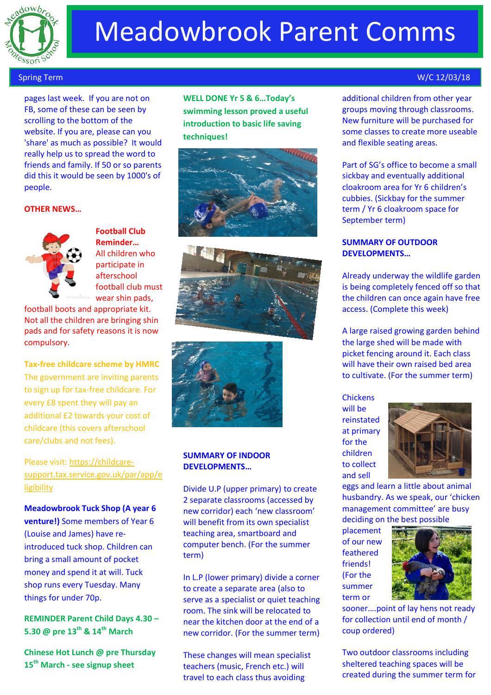

# Meadowbrook Parent Comms

 pages last week. If you are not on FB, some of these can be seen by scrolling to the bottom of the website. If you are, please can you 'share' as much as possible? It would really help us to spread the word to friends and family. If 50 or so parents did this it would be seen by 1000's of people.

#### **OTHER NEWS…**



**Football Club Reminder…** All children who participate in afterschool football club must wear shin pads,

football boots and appropriate kit. Not all the children are bringing shin pads and for safety reasons it is now compulsory.

**Tax-free childcare scheme by HMRC** The government are inviting parents to sign up for tax-free childcare. For every £8 spent they will pay an additional £2 towards your cost of childcare (this covers afterschool care/clubs and not fees).

Please visit: [https://childcare](https://childcare-support.tax.service.gov.uk/par/app/eligibility)[support.tax.service.gov.uk/par/app/e](https://childcare-support.tax.service.gov.uk/par/app/eligibility) [ligibility](https://childcare-support.tax.service.gov.uk/par/app/eligibility)

**Meadowbrook Tuck Shop (A year 6 venture!)** Some members of Year 6 (Louise and James) have reintroduced tuck shop. Children can bring a small amount of pocket money and spend it at will. Tuck shop runs every Tuesday. Many things for under 70p.

**REMINDER Parent Child Days 4.30 – 5.30 @ pre 13th & 14th March**

**Chinese Hot Lunch @ pre Thursday 15th March - see signup sheet**

**WELL DONE Yr 5 & 6…Today's swimming lesson proved a useful introduction to basic life saving techniques!**







#### **SUMMARY OF INDOOR DEVELOPMENTS…**

Divide U.P (upper primary) to create 2 separate classrooms (accessed by new corridor) each 'new classroom' will benefit from its own specialist teaching area, smartboard and computer bench. (For the summer term)

In L.P (lower primary) divide a corner to create a separate area (also to serve as a specialist or quiet teaching room. The sink will be relocated to near the kitchen door at the end of a new corridor. (For the summer term)

These changes will mean specialist teachers (music, French etc.) will travel to each class thus avoiding

#### Spring Term W/C 12/03/18

additional children from other year groups moving through classrooms. New furniture will be purchased for some classes to create more useable and flexible seating areas.

Part of SG's office to become a small sickbay and eventually additional cloakroom area for Yr 6 children's cubbies. (Sickbay for the summer term / Yr 6 cloakroom space for September term)

#### **SUMMARY OF OUTDOOR DEVELOPMENTS…**

Already underway the wildlife garden is being completely fenced off so that the children can once again have free access. (Complete this week)

A large raised growing garden behind the large shed will be made with picket fencing around it. Each class will have their own raised bed area to cultivate. (For the summer term)

**Chickens** 

will be reinstated at primary for the children to collect and sell



eggs and learn a little about animal husbandry. As we speak, our 'chicken management committee' are busy deciding on the best possible

placement of our new feathered friends! (For the summer term or



sooner….point of lay hens not ready for collection until end of month / coup ordered)

Two outdoor classrooms including sheltered teaching spaces will be created during the summer term for